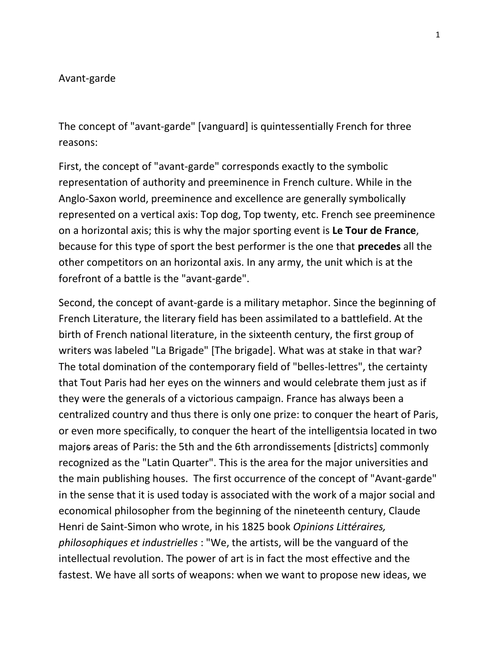## Avant-garde

The concept of "avant-garde" [vanguard] is quintessentially French for three reasons:

First, the concept of "avant-garde" corresponds exactly to the symbolic representation of authority and preeminence in French culture. While in the Anglo-Saxon world, preeminence and excellence are generally symbolically represented on a vertical axis: Top dog, Top twenty, etc. French see preeminence on a horizontal axis; this is why the major sporting event is **Le Tour de France**, because for this type of sport the best performer is the one that **precedes** all the other competitors on an horizontal axis. In any army, the unit which is at the forefront of a battle is the "avant-garde".

Second, the concept of avant-garde is a military metaphor. Since the beginning of French Literature, the literary field has been assimilated to a battlefield. At the birth of French national literature, in the sixteenth century, the first group of writers was labeled "La Brigade" [The brigade]. What was at stake in that war? The total domination of the contemporary field of "belles-lettres", the certainty that Tout Paris had her eyes on the winners and would celebrate them just as if they were the generals of a victorious campaign. France has always been a centralized country and thus there is only one prize: to conquer the heart of Paris, or even more specifically, to conquer the heart of the intelligentsia located in two majors areas of Paris: the 5th and the 6th arrondissements [districts] commonly recognized as the "Latin Quarter". This is the area for the major universities and the main publishing houses. The first occurrence of the concept of "Avant-garde" in the sense that it is used today is associated with the work of a major social and economical philosopher from the beginning of the nineteenth century, Claude Henri de Saint-Simon who wrote, in his 1825 book *Opinions Littéraires, philosophiques et industrielles* : "We, the artists, will be the vanguard of the intellectual revolution. The power of art is in fact the most effective and the fastest. We have all sorts of weapons: when we want to propose new ideas, we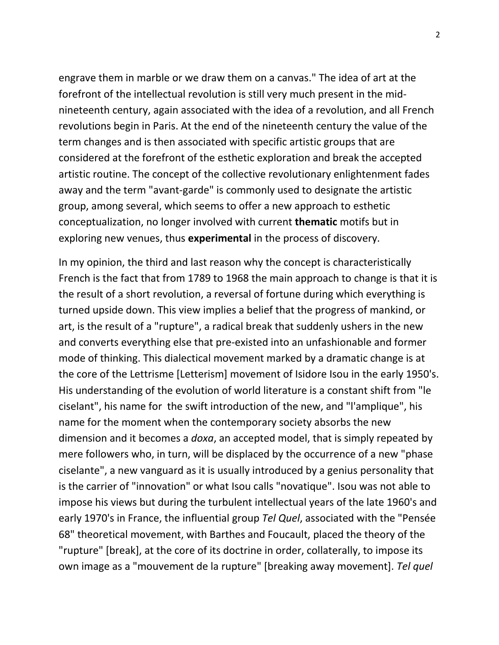engrave them in marble or we draw them on a canvas." The idea of art at the forefront of the intellectual revolution is still very much present in the midnineteenth century, again associated with the idea of a revolution, and all French revolutions begin in Paris. At the end of the nineteenth century the value of the term changes and is then associated with specific artistic groups that are considered at the forefront of the esthetic exploration and break the accepted artistic routine. The concept of the collective revolutionary enlightenment fades away and the term "avant-garde" is commonly used to designate the artistic group, among several, which seems to offer a new approach to esthetic conceptualization, no longer involved with current **thematic** motifs but in exploring new venues, thus **experimental** in the process of discovery.

In my opinion, the third and last reason why the concept is characteristically French is the fact that from 1789 to 1968 the main approach to change is that it is the result of a short revolution, a reversal of fortune during which everything is turned upside down. This view implies a belief that the progress of mankind, or art, is the result of a "rupture", a radical break that suddenly ushers in the new and converts everything else that pre-existed into an unfashionable and former mode of thinking. This dialectical movement marked by a dramatic change is at the core of the Lettrisme [Letterism] movement of Isidore Isou in the early 1950's. His understanding of the evolution of world literature is a constant shift from "le ciselant", his name for the swift introduction of the new, and "l'amplique", his name for the moment when the contemporary society absorbs the new dimension and it becomes a *doxa*, an accepted model, that is simply repeated by mere followers who, in turn, will be displaced by the occurrence of a new "phase ciselante", a new vanguard as it is usually introduced by a genius personality that is the carrier of "innovation" or what Isou calls "novatique". Isou was not able to impose his views but during the turbulent intellectual years of the late 1960's and early 1970's in France, the influential group *Tel Quel*, associated with the "Pensée 68" theoretical movement, with Barthes and Foucault, placed the theory of the "rupture" [break], at the core of its doctrine in order, collaterally, to impose its own image as a "mouvement de la rupture" [breaking away movement]. *Tel quel*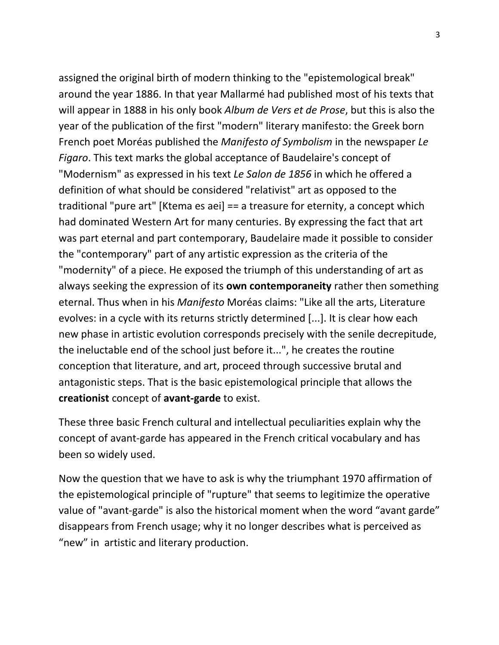assigned the original birth of modern thinking to the "epistemological break" around the year 1886. In that year Mallarmé had published most of his texts that will appear in 1888 in his only book *Album de Vers et de Prose*, but this is also the year of the publication of the first "modern" literary manifesto: the Greek born French poet Moréas published the *Manifesto of Symbolism* in the newspaper *Le Figaro*. This text marks the global acceptance of Baudelaire's concept of "Modernism" as expressed in his text *Le Salon de 1856* in which he offered a definition of what should be considered "relativist" art as opposed to the traditional "pure art" [Ktema es aei] == a treasure for eternity, a concept which had dominated Western Art for many centuries. By expressing the fact that art was part eternal and part contemporary, Baudelaire made it possible to consider the "contemporary" part of any artistic expression as the criteria of the "modernity" of a piece. He exposed the triumph of this understanding of art as always seeking the expression of its **own contemporaneity** rather then something eternal. Thus when in his *Manifesto* Moréas claims: "Like all the arts, Literature evolves: in a cycle with its returns strictly determined [...]. It is clear how each new phase in artistic evolution corresponds precisely with the senile decrepitude, the ineluctable end of the school just before it...", he creates the routine conception that literature, and art, proceed through successive brutal and antagonistic steps. That is the basic epistemological principle that allows the **creationist** concept of **avant-garde** to exist.

These three basic French cultural and intellectual peculiarities explain why the concept of avant-garde has appeared in the French critical vocabulary and has been so widely used.

Now the question that we have to ask is why the triumphant 1970 affirmation of the epistemological principle of "rupture" that seems to legitimize the operative value of "avant-garde" is also the historical moment when the word "avant garde" disappears from French usage; why it no longer describes what is perceived as "new" in artistic and literary production.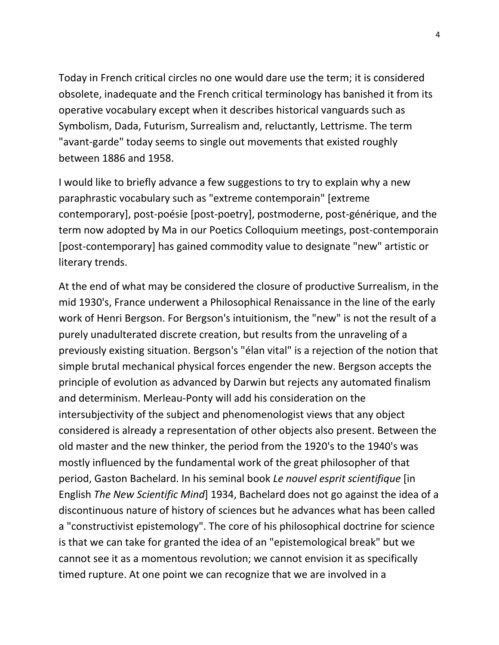Today in French critical circles no one would dare use the term; it is considered obsolete, inadequate and the French critical terminology has banished it from its operative vocabulary except when it describes historical vanguards such as Symbolism, Dada, Futurism, Surrealism and, reluctantly, Lettrisme. The term "avant-garde" today seems to single out movements that existed roughly between 1886 and 1958.

I would like to briefly advance a few suggestions to try to explain why a new paraphrastic vocabulary such as "extreme contemporain" [extreme contemporary], post-poésie [post-poetry], postmoderne, post-générique, and the term now adopted by Ma in our Poetics Colloquium meetings, post-contemporain [post-contemporary] has gained commodity value to designate "new" artistic or literary trends.

At the end of what may be considered the closure of productive Surrealism, in the mid 1930's, France underwent a Philosophical Renaissance in the line of the early work of Henri Bergson. For Bergson's intuitionism, the "new" is not the result of a purely unadulterated discrete creation, but results from the unraveling of a previously existing situation. Bergson's "élan vital" is a rejection of the notion that simple brutal mechanical physical forces engender the new. Bergson accepts the principle of evolution as advanced by Darwin but rejects any automated finalism and determinism. Merleau-Ponty will add his consideration on the intersubjectivity of the subject and phenomenologist views that any object considered is already a representation of other objects also present. Between the old master and the new thinker, the period from the 1920's to the 1940's was mostly influenced by the fundamental work of the great philosopher of that period, Gaston Bachelard. In his seminal book *Le nouvel esprit scientifique* [in English *The New Scientific Mind*] 1934, Bachelard does not go against the idea of a discontinuous nature of history of sciences but he advances what has been called a "constructivist epistemology". The core of his philosophical doctrine for science is that we can take for granted the idea of an "epistemological break" but we cannot see it as a momentous revolution; we cannot envision it as specifically timed rupture. At one point we can recognize that we are involved in a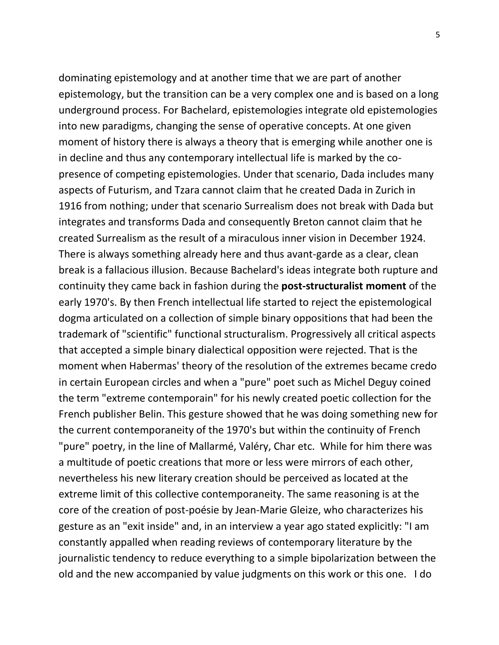dominating epistemology and at another time that we are part of another epistemology, but the transition can be a very complex one and is based on a long underground process. For Bachelard, epistemologies integrate old epistemologies into new paradigms, changing the sense of operative concepts. At one given moment of history there is always a theory that is emerging while another one is in decline and thus any contemporary intellectual life is marked by the copresence of competing epistemologies. Under that scenario, Dada includes many aspects of Futurism, and Tzara cannot claim that he created Dada in Zurich in 1916 from nothing; under that scenario Surrealism does not break with Dada but integrates and transforms Dada and consequently Breton cannot claim that he created Surrealism as the result of a miraculous inner vision in December 1924. There is always something already here and thus avant-garde as a clear, clean break is a fallacious illusion. Because Bachelard's ideas integrate both rupture and continuity they came back in fashion during the **post-structuralist moment** of the early 1970's. By then French intellectual life started to reject the epistemological dogma articulated on a collection of simple binary oppositions that had been the trademark of "scientific" functional structuralism. Progressively all critical aspects that accepted a simple binary dialectical opposition were rejected. That is the moment when Habermas' theory of the resolution of the extremes became credo in certain European circles and when a "pure" poet such as Michel Deguy coined the term "extreme contemporain" for his newly created poetic collection for the French publisher Belin. This gesture showed that he was doing something new for the current contemporaneity of the 1970's but within the continuity of French "pure" poetry, in the line of Mallarmé, Valéry, Char etc. While for him there was a multitude of poetic creations that more or less were mirrors of each other, nevertheless his new literary creation should be perceived as located at the extreme limit of this collective contemporaneity. The same reasoning is at the core of the creation of post-poésie by Jean-Marie Gleize, who characterizes his gesture as an "exit inside" and, in an interview a year ago stated explicitly: "I am constantly appalled when reading reviews of contemporary literature by the journalistic tendency to reduce everything to a simple bipolarization between the old and the new accompanied by value judgments on this work or this one. I do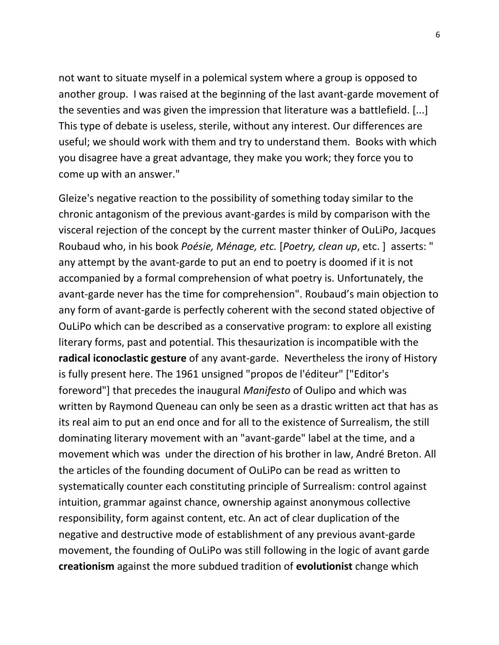not want to situate myself in a polemical system where a group is opposed to another group. I was raised at the beginning of the last avant-garde movement of the seventies and was given the impression that literature was a battlefield. [...] This type of debate is useless, sterile, without any interest. Our differences are useful; we should work with them and try to understand them. Books with which you disagree have a great advantage, they make you work; they force you to come up with an answer."

Gleize's negative reaction to the possibility of something today similar to the chronic antagonism of the previous avant-gardes is mild by comparison with the visceral rejection of the concept by the current master thinker of OuLiPo, Jacques Roubaud who, in his book *Poésie, Ménage, etc.* [*Poetry, clean up*, etc. ] asserts: " any attempt by the avant-garde to put an end to poetry is doomed if it is not accompanied by a formal comprehension of what poetry is. Unfortunately, the avant-garde never has the time for comprehension". Roubaud's main objection to any form of avant-garde is perfectly coherent with the second stated objective of OuLiPo which can be described as a conservative program: to explore all existing literary forms, past and potential. This thesaurization is incompatible with the **radical iconoclastic gesture** of any avant-garde. Nevertheless the irony of History is fully present here. The 1961 unsigned "propos de l'éditeur" ["Editor's foreword"] that precedes the inaugural *Manifesto* of Oulipo and which was written by Raymond Queneau can only be seen as a drastic written act that has as its real aim to put an end once and for all to the existence of Surrealism, the still dominating literary movement with an "avant-garde" label at the time, and a movement which was under the direction of his brother in law, André Breton. All the articles of the founding document of OuLiPo can be read as written to systematically counter each constituting principle of Surrealism: control against intuition, grammar against chance, ownership against anonymous collective responsibility, form against content, etc. An act of clear duplication of the negative and destructive mode of establishment of any previous avant-garde movement, the founding of OuLiPo was still following in the logic of avant garde **creationism** against the more subdued tradition of **evolutionist** change which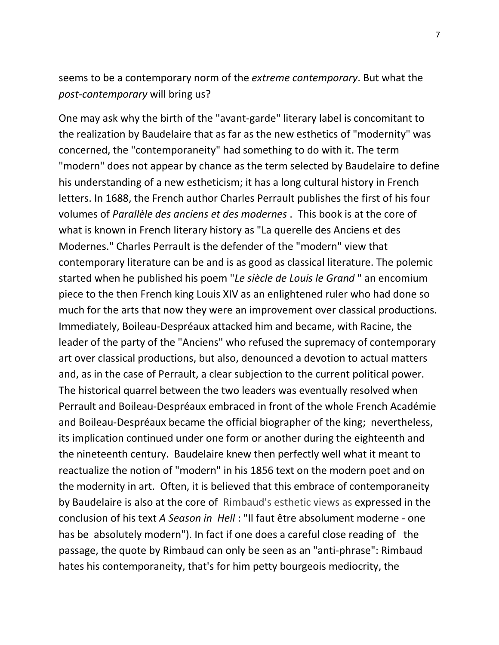seems to be a contemporary norm of the *extreme contemporary*. But what the *post-contemporary* will bring us?

One may ask why the birth of the "avant-garde" literary label is concomitant to the realization by Baudelaire that as far as the new esthetics of "modernity" was concerned, the "contemporaneity" had something to do with it. The term "modern" does not appear by chance as the term selected by Baudelaire to define his understanding of a new estheticism; it has a long cultural history in French letters. In 1688, the French author Charles Perrault publishes the first of his four volumes of *Parallèle des anciens et des modernes* . This book is at the core of what is known in French literary history as "La querelle des Anciens et des Modernes." Charles Perrault is the defender of the "modern" view that contemporary literature can be and is as good as classical literature. The polemic started when he published his poem "*Le siècle de Louis le Grand* " an encomium piece to the then French king Louis XIV as an enlightened ruler who had done so much for the arts that now they were an improvement over classical productions. Immediately, Boileau-Despréaux attacked him and became, with Racine, the leader of the party of the "Anciens" who refused the supremacy of contemporary art over classical productions, but also, denounced a devotion to actual matters and, as in the case of Perrault, a clear subjection to the current political power. The historical quarrel between the two leaders was eventually resolved when Perrault and Boileau-Despréaux embraced in front of the whole French Académie and Boileau-Despréaux became the official biographer of the king; nevertheless, its implication continued under one form or another during the eighteenth and the nineteenth century. Baudelaire knew then perfectly well what it meant to reactualize the notion of "modern" in his 1856 text on the modern poet and on the modernity in art. Often, it is believed that this embrace of contemporaneity by Baudelaire is also at the core of Rimbaud's esthetic views as expressed in the conclusion of his text *A Season in Hell* : "Il faut être absolument moderne - one has be absolutely modern"). In fact if one does a careful close reading of the passage, the quote by Rimbaud can only be seen as an "anti-phrase": Rimbaud hates his contemporaneity, that's for him petty bourgeois mediocrity, the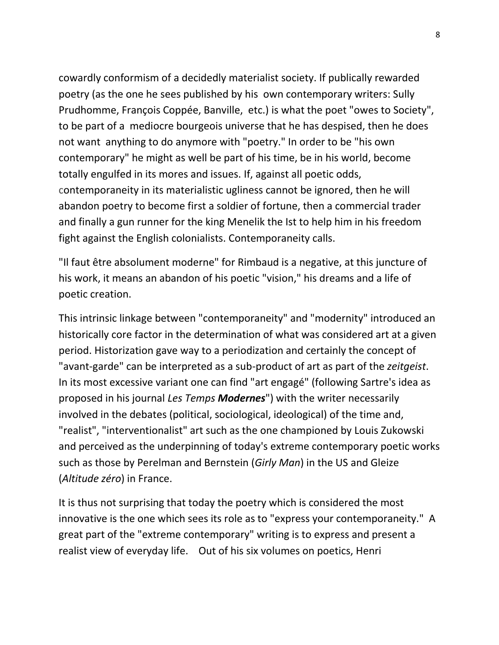cowardly conformism of a decidedly materialist society. If publically rewarded poetry (as the one he sees published by his own contemporary writers: Sully Prudhomme, François Coppée, Banville, etc.) is what the poet "owes to Society", to be part of a mediocre bourgeois universe that he has despised, then he does not want anything to do anymore with "poetry." In order to be "his own contemporary" he might as well be part of his time, be in his world, become totally engulfed in its mores and issues. If, against all poetic odds, contemporaneity in its materialistic ugliness cannot be ignored, then he will abandon poetry to become first a soldier of fortune, then a commercial trader and finally a gun runner for the king Menelik the Ist to help him in his freedom fight against the English colonialists. Contemporaneity calls.

"Il faut être absolument moderne" for Rimbaud is a negative, at this juncture of his work, it means an abandon of his poetic "vision," his dreams and a life of poetic creation.

This intrinsic linkage between "contemporaneity" and "modernity" introduced an historically core factor in the determination of what was considered art at a given period. Historization gave way to a periodization and certainly the concept of "avant-garde" can be interpreted as a sub-product of art as part of the *zeitgeist*. In its most excessive variant one can find "art engagé" (following Sartre's idea as proposed in his journal *Les Temps Modernes*") with the writer necessarily involved in the debates (political, sociological, ideological) of the time and, "realist", "interventionalist" art such as the one championed by Louis Zukowski and perceived as the underpinning of today's extreme contemporary poetic works such as those by Perelman and Bernstein (*Girly Man*) in the US and Gleize (*Altitude zéro*) in France.

It is thus not surprising that today the poetry which is considered the most innovative is the one which sees its role as to "express your contemporaneity." A great part of the "extreme contemporary" writing is to express and present a realist view of everyday life. Out of his six volumes on poetics, Henri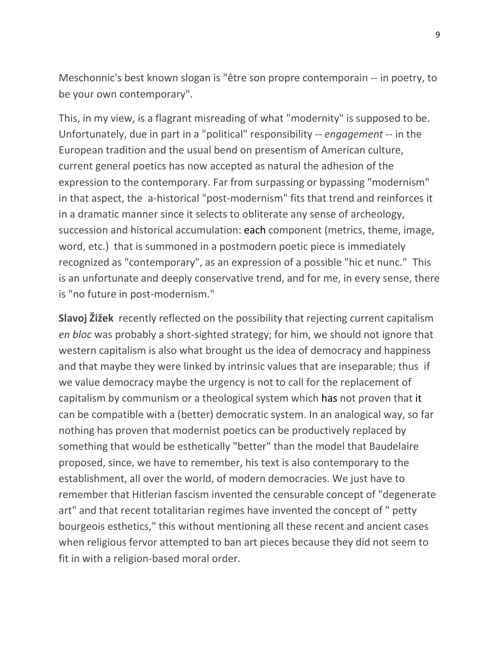Meschonnic's best known slogan is "être son propre contemporain -- in poetry, to be your own contemporary".

This, in my view, is a flagrant misreading of what "modernity" is supposed to be. Unfortunately, due in part in a "political" responsibility -- *engagement* -- in the European tradition and the usual bend on presentism of American culture, current general poetics has now accepted as natural the adhesion of the expression to the contemporary. Far from surpassing or bypassing "modernism" in that aspect, the a-historical "post-modernism" fits that trend and reinforces it in a dramatic manner since it selects to obliterate any sense of archeology, succession and historical accumulation: each component (metrics, theme, image, word, etc.) that is summoned in a postmodern poetic piece is immediately recognized as "contemporary", as an expression of a possible "hic et nunc." This is an unfortunate and deeply conservative trend, and for me, in every sense, there is "no future in post-modernism."

**Slavoj Žižek** recently reflected on the possibility that rejecting current capitalism *en bloc* was probably a short-sighted strategy; for him, we should not ignore that western capitalism is also what brought us the idea of democracy and happiness and that maybe they were linked by intrinsic values that are inseparable; thus if we value democracy maybe the urgency is not to call for the replacement of capitalism by communism or a theological system which has not proven that it can be compatible with a (better) democratic system. In an analogical way, so far nothing has proven that modernist poetics can be productively replaced by something that would be esthetically "better" than the model that Baudelaire proposed, since, we have to remember, his text is also contemporary to the establishment, all over the world, of modern democracies. We just have to remember that Hitlerian fascism invented the censurable concept of "degenerate art" and that recent totalitarian regimes have invented the concept of " petty bourgeois esthetics," this without mentioning all these recent and ancient cases when religious fervor attempted to ban art pieces because they did not seem to fit in with a religion-based moral order.